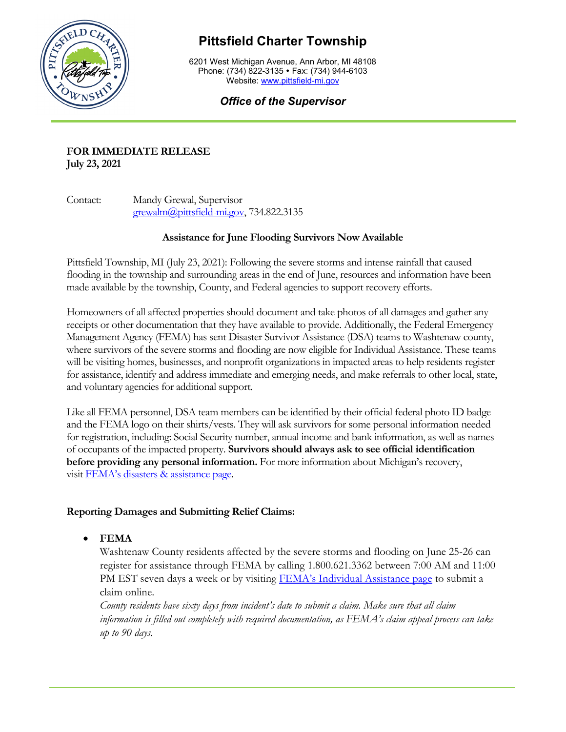

# **Pittsfield Charter Township**

6201 West Michigan Avenue, Ann Arbor, MI 48108 Phone: (734) 822-3135 • Fax: (734) 944-6103 Website: [www.pittsfield-mi.gov](http://www.pittsfield-mi.gov/)

## *Office of the Supervisor*

### **FOR IMMEDIATE RELEASE July 23, 2021**

Contact: Mandy Grewal, Supervisor [grewalm@pittsfield-mi.gov,](mailto:grewalm@pittsfield-mi.gov) 734.822.3135

### **Assistance for June Flooding Survivors Now Available**

Pittsfield Township, MI (July 23, 2021): Following the severe storms and intense rainfall that caused flooding in the township and surrounding areas in the end of June, resources and information have been made available by the township, County, and Federal agencies to support recovery efforts.

Homeowners of all affected properties should document and take photos of all damages and gather any receipts or other documentation that they have available to provide. Additionally, the Federal Emergency Management Agency (FEMA) has sent Disaster Survivor Assistance (DSA) teams to Washtenaw county, where survivors of the severe storms and flooding are now eligible for Individual Assistance. These teams will be visiting homes, businesses, and nonprofit organizations in impacted areas to help residents register for assistance, identify and address immediate and emerging needs, and make referrals to other local, state, and voluntary agencies for additional support.

Like all FEMA personnel, DSA team members can be identified by their official federal photo ID badge and the FEMA logo on their shirts/vests. They will ask survivors for some personal information needed for registration, including: Social Security number, annual income and bank information, as well as names of occupants of the impacted property. **Survivors should always ask to see official identification before providing any personal information.** For more information about Michigan's recovery, visit [FEMA's disasters & assistance page.](http://www.fema.gov/disaster/4607)

### **Reporting Damages and Submitting Relief Claims:**

• **FEMA**

Washtenaw County residents affected by the severe storms and flooding on June 25-26 can register for assistance through FEMA by calling 1.800.621.3362 between 7:00 AM and 11:00 PM EST seven days a week or by visiting [FEMA's Individual Assistance page](https://www.fema.gov/assistance/individual) to submit a claim online.

*County residents have sixty days from incident's date to submit a claim. Make sure that all claim information is filled out completely with required documentation, as FEMA's claim appeal process can take up to 90 days*.